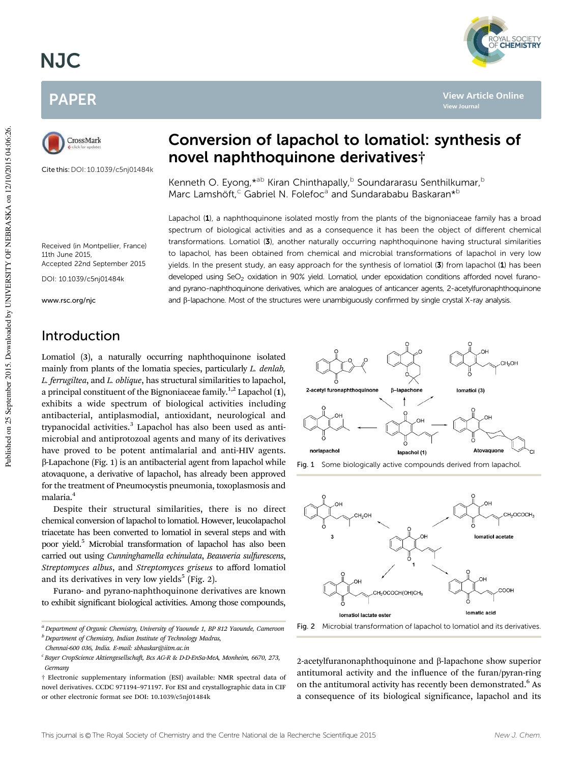# NJC





Cite this:DOI: 10.1039/c5nj01484k

# Conversion of lapachol to lomatiol: synthesis of novel naphthoquinone derivatives†

Kenneth O. Eyong, \*<sup>ab</sup> Kiran Chinthapally, <sup>b</sup> Soundararasu Senthilkumar, <sup>b</sup> Marc Lamshöft,<sup>c</sup> Gabriel N. Folefoc<sup>a</sup> and Sundarababu Baskaran\*<sup>b</sup>

Lapachol (1), a naphthoquinone isolated mostly from the plants of the bignoniaceae family has a broad spectrum of biological activities and as a consequence it has been the object of different chemical transformations. Lomatiol (3), another naturally occurring naphthoquinone having structural similarities to lapachol, has been obtained from chemical and microbial transformations of lapachol in very low yields. In the present study, an easy approach for the synthesis of lomatiol (3) from lapachol (1) has been developed using SeO<sub>2</sub> oxidation in 90% yield. Lomatiol, under epoxidation conditions afforded novel furanoand pyrano-naphthoquinone derivatives, which are analogues of anticancer agents, 2-acetylfuronaphthoquinone and B-lapachone. Most of the structures were unambiguously confirmed by single crystal X-ray analysis.

Received (in Montpellier, France) 11th June 2015, Accepted 22nd September 2015

DOI: 10.1039/c5nj01484k

www.rsc.org/njc

# Introduction

Lomatiol (3), a naturally occurring naphthoquinone isolated mainly from plants of the lomatia species, particularly *L. denlab, L. ferrugiltea*, and *L. oblique*, has structural similarities to lapachol, a principal constituent of the Bignoniaceae family.<sup>1,2</sup> Lapachol  $(1)$ , exhibits a wide spectrum of biological activities including antibacterial, antiplasmodial, antioxidant, neurological and trypanocidal activities.<sup>3</sup> Lapachol has also been used as antimicrobial and antiprotozoal agents and many of its derivatives have proved to be potent antimalarial and anti-HIV agents.  $\beta$ -Lapachone (Fig. 1) is an antibacterial agent from lapachol while atovaquone, a derivative of lapachol, has already been approved for the treatment of Pneumocystis pneumonia, toxoplasmosis and malaria.<sup>4</sup>

Despite their structural similarities, there is no direct chemical conversion of lapachol to lomatiol. However, leucolapachol triacetate has been converted to lomatiol in several steps and with poor yield.<sup>5</sup> Microbial transformation of lapachol has also been carried out using *Cunninghamella echinulata*, *Beauveria sulfurescens*, *Streptomyces albus*, and *Streptomyces griseus* to afford lomatiol and its derivatives in very low yields<sup>5</sup> (Fig. 2).

Furano- and pyrano-naphthoquinone derivatives are known to exhibit significant biological activities. Among those compounds,







<sup>a</sup> Department of Organic Chemistry, University of Yaounde 1, BP 812 Yaounde, Cameroon Fig. 2 Microbial transformation of lapachol to lomatiol and its derivatives.

2-acetylfuranonaphthoquinone and b-lapachone show superior antitumoral activity and the influence of the furan/pyran-ring on the antitumoral activity has recently been demonstrated.<sup>6</sup> As a consequence of its biological significance, lapachol and its



**View Article Online**

**View Journal**

*<sup>b</sup>Department of Chemistry, Indian Institute of Technology Madras,*

*Chennai-600 036, India. E-mail: sbhaskar@iitm.ac.in*

*c Bayer CropScience Aktiengesellschaft, Bcs AG-R & D-D-EnSa-MeA, Monheim, 6670, 273, Germany*

<sup>†</sup> Electronic supplementary information (ESI) available: NMR spectral data of novel derivatives. CCDC 971194–971197. For ESI and crystallographic data in CIF or other electronic format see DOI: 10.1039/c5nj01484k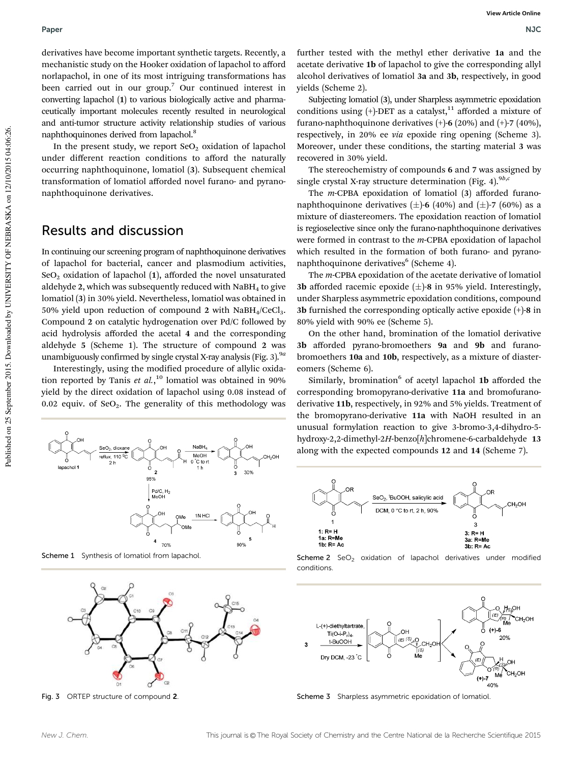derivatives have become important synthetic targets. Recently, a mechanistic study on the Hooker oxidation of lapachol to afford norlapachol, in one of its most intriguing transformations has been carried out in our group.<sup>7</sup> Our continued interest in converting lapachol (1) to various biologically active and pharmaceutically important molecules recently resulted in neurological and anti-tumor structure activity relationship studies of various naphthoquinones derived from lapachol.<sup>8</sup>

In the present study, we report  $SeO<sub>2</sub>$  oxidation of lapachol under different reaction conditions to afford the naturally occurring naphthoquinone, lomatiol (3). Subsequent chemical transformation of lomatiol afforded novel furano- and pyranonaphthoquinone derivatives.

### Results and discussion

In continuing our screening program of naphthoquinone derivatives of lapachol for bacterial, cancer and plasmodium activities,  $SeO<sub>2</sub>$  oxidation of lapachol (1), afforded the novel unsaturated aldehyde 2, which was subsequently reduced with  $N$ aBH<sub>4</sub> to give lomatiol (3) in 30% yield. Nevertheless, lomatiol was obtained in 50% yield upon reduction of compound 2 with  $NaBH<sub>4</sub>/CeCl<sub>3</sub>$ . Compound 2 on catalytic hydrogenation over Pd/C followed by acid hydrolysis afforded the acetal 4 and the corresponding aldehyde 5 (Scheme 1). The structure of compound 2 was unambiguously confirmed by single crystal X-ray analysis (Fig. 3).9*<sup>a</sup>*

Interestingly, using the modified procedure of allylic oxidation reported by Tanis *et al.*, <sup>10</sup> lomatiol was obtained in 90% yield by the direct oxidation of lapachol using 0.08 instead of 0.02 equiv. of  $\text{SeO}_2$ . The generality of this methodology was

 $\overline{\phantom{a}}$ 

 $\boldsymbol{4}$ 

95% Pd/C, H<sub>2</sub><br>MeOH NaBH

MeOH

0<sup>°</sup>C to rt

1N HC

OMe

`OMe

CH<sub>2</sub>OH

30%

5

90%

Scheme 1 Synthesis of lomatiol from lapachol.

 $\frac{\text{SeO}_2, \text{dioxane}}{\text{reflux}, 110^{9} \text{C}}$ 

...

lapachol<sup>\*</sup>



Fig. 3 ORTEP structure of compound 2

further tested with the methyl ether derivative 1a and the acetate derivative 1b of lapachol to give the corresponding allyl alcohol derivatives of lomatiol 3a and 3b, respectively, in good yields (Scheme 2).

Subjecting lomatiol (3), under Sharpless asymmetric epoxidation conditions using  $(+)$ -DET as a catalyst,<sup>11</sup> afforded a mixture of furano-naphthoquinone derivatives  $(+)$ -6 (20%) and  $(+)$ -7 (40%), respectively, in 20% ee *via* epoxide ring opening (Scheme 3). Moreover, under these conditions, the starting material 3 was recovered in 30% yield.

The stereochemistry of compounds 6 and 7 was assigned by single crystal X-ray structure determination (Fig. 4).<sup>9b,*c*</sup>

The *m*-CPBA epoxidation of lomatiol (3) afforded furanonaphthoquinone derivatives  $(\pm)$ -6 (40%) and  $(\pm)$ -7 (60%) as a mixture of diastereomers. The epoxidation reaction of lomatiol is regioselective since only the furano-naphthoquinone derivatives were formed in contrast to the *m*-CPBA epoxidation of lapachol which resulted in the formation of both furano- and pyranonaphthoquinone derivatives<sup>6</sup> (Scheme 4).

The *m*-CPBA epoxidation of the acetate derivative of lomatiol 3b afforded racemic epoxide  $(\pm)$ -8 in 95% yield. Interestingly, under Sharpless asymmetric epoxidation conditions, compound 3b furnished the corresponding optically active epoxide (+)-8 in 80% yield with 90% ee (Scheme 5).

On the other hand, bromination of the lomatiol derivative 3b afforded pyrano-bromoethers 9a and 9b and furanobromoethers 10a and 10b, respectively, as a mixture of diastereomers (Scheme 6).

Similarly, bromination<sup>6</sup> of acetyl lapachol 1b afforded the corresponding bromopyrano-derivative 11a and bromofuranoderivative 11b, respectively, in 92% and 5% yields. Treatment of the bromopyrano-derivative 11a with NaOH resulted in an unusual formylation reaction to give 3-bromo-3,4-dihydro-5 hydroxy-2,2-dimethyl-2*H*-benzo[*h*]chromene-6-carbaldehyde 13 along with the expected compounds 12 and 14 (Scheme 7).



Scheme 2  $SeO<sub>2</sub>$  oxidation of lapachol derivatives under modified conditions.



Scheme 3 Sharpless asymmetric epoxidation of lomatiol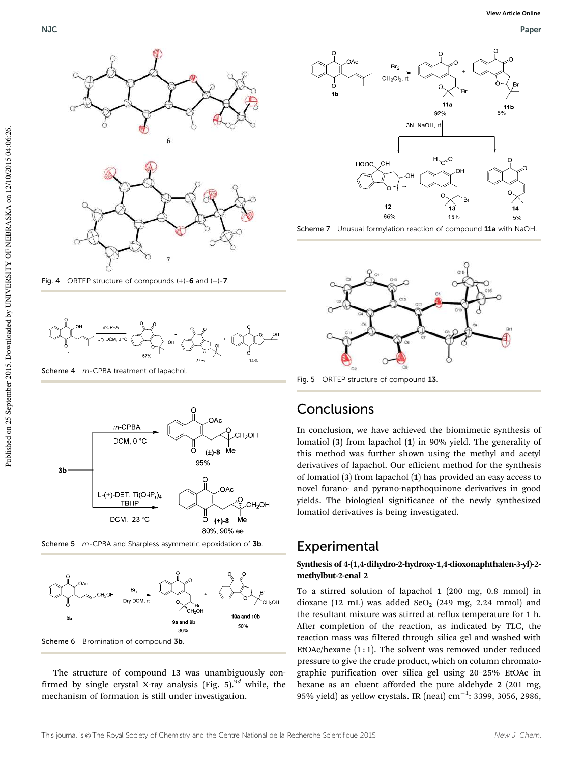

Fig. 4 ORTEP structure of compounds (+)-6 and (+)-7.



Scheme 4 m-CPBA treatment of lapachol



Scheme 5 m-CPBA and Sharpless asymmetric epoxidation of 3b.



The structure of compound 13 was unambiguously confirmed by single crystal X-ray analysis (Fig. 5).<sup>9d</sup> while, the mechanism of formation is still under investigation.



Scheme 7 Unusual formylation reaction of compound 11a with NaOH.



Fig. 5 ORTEP structure of compound 13

# **Conclusions**

In conclusion, we have achieved the biomimetic synthesis of lomatiol (3) from lapachol (1) in 90% yield. The generality of this method was further shown using the methyl and acetyl derivatives of lapachol. Our efficient method for the synthesis of lomatiol (3) from lapachol (1) has provided an easy access to novel furano- and pyrano-napthoquinone derivatives in good yields. The biological significance of the newly synthesized lomatiol derivatives is being investigated.

# **Experimental**

#### Synthesis of 4-(1,4-dihydro-2-hydroxy-1,4-dioxonaphthalen-3-yl)-2 methylbut-2-enal 2

To a stirred solution of lapachol 1 (200 mg, 0.8 mmol) in dioxane (12 mL) was added SeO<sub>2</sub> (249 mg, 2.24 mmol) and the resultant mixture was stirred at reflux temperature for 1 h. After completion of the reaction, as indicated by TLC, the reaction mass was filtered through silica gel and washed with EtOAc/hexane  $(1:1)$ . The solvent was removed under reduced pressure to give the crude product, which on column chromatographic purification over silica gel using 20–25% EtOAc in hexane as an eluent afforded the pure aldehyde 2 (201 mg, 95% yield) as yellow crystals. IR (neat)  $cm^{-1}$ : 3399, 3056, 2986,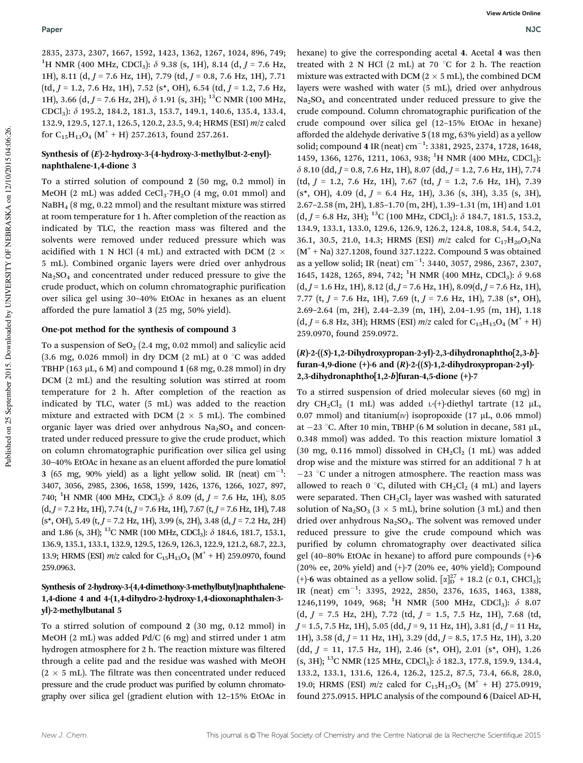2835, 2373, 2307, 1667, 1592, 1423, 1362, 1267, 1024, 896, 749; <sup>1</sup>H NMR (400 MHz, CDCl<sub>3</sub>):  $\delta$  9.38 (s, 1H), 8.14 (d, *J* = 7.6 Hz, 1H), 8.11 (d, *J* = 7.6 Hz, 1H), 7.79 (td, *J* = 0.8, 7.6 Hz, 1H), 7.71 (td, *J* = 1.2, 7.6 Hz, 1H), 7.52 (s\*, OH), 6.54 (td, *J* = 1.2, 7.6 Hz, 1H), 3.66 (d, J = 7.6 Hz, 2H),  $\delta$  1.91 (s, 3H); <sup>13</sup>C NMR (100 MHz, CDCl3): d 195.2, 184.2, 181.3, 153.7, 149.1, 140.6, 135.4, 133.4, 132.9, 129.5, 127.1, 126.5, 120.2, 23.5, 9.4; HRMS (ESI) *m*/*z* calcd for C<sub>15</sub>H<sub>13</sub>O<sub>4</sub> (M<sup>+</sup> + H) 257.2613, found 257.261.

#### Synthesis of (E)-2-hydroxy-3-(4-hydroxy-3-methylbut-2-enyl) naphthalene-1,4-dione 3

To a stirred solution of compound 2 (50 mg, 0.2 mmol) in MeOH (2 mL) was added CeCl<sub>3</sub>.7H<sub>2</sub>O (4 mg, 0.01 mmol) and NaBH<sup>4</sup> (8 mg, 0.22 mmol) and the resultant mixture was stirred at room temperature for 1 h. After completion of the reaction as indicated by TLC, the reaction mass was filtered and the solvents were removed under reduced pressure which was acidified with 1 N HCl (4 mL) and extracted with DCM (2  $\times$ 5 mL). Combined organic layers were dried over anhydrous  $Na<sub>2</sub>SO<sub>4</sub>$  and concentrated under reduced pressure to give the crude product, which on column chromatographic purification over silica gel using 30–40% EtOAc in hexanes as an eluent afforded the pure lamatiol 3 (25 mg, 50% yield).

#### One-pot method for the synthesis of compound 3

To a suspension of  $\text{SeO}_2$  (2.4 mg, 0.02 mmol) and salicylic acid (3.6 mg, 0.026 mmol) in dry DCM (2 mL) at 0  $\degree$ C was added TBHP (163  $\mu$ L, 6 M) and compound 1 (68 mg, 0.28 mmol) in dry DCM (2 mL) and the resulting solution was stirred at room temperature for 2 h. After completion of the reaction as indicated by TLC, water (5 mL) was added to the reaction mixture and extracted with DCM ( $2 \times 5$  mL). The combined organic layer was dried over anhydrous  $Na<sub>2</sub>SO<sub>4</sub>$  and concentrated under reduced pressure to give the crude product, which on column chromatographic purification over silica gel using 30–40% EtOAc in hexane as an eluent afforded the pure lomatiol 3 (65 mg, 90% yield) as a light yellow solid. IR (neat)  $cm^{-1}$ : 3407, 3056, 2985, 2306, 1658, 1599, 1426, 1376, 1266, 1027, 897, 740; <sup>1</sup>H NMR (400 MHz, CDCl<sub>3</sub>):  $\delta$  8.09 (d, *J* = 7.6 Hz, 1H), 8.05 (d, *J* = 7.2 Hz, 1H), 7.74 (t, *J* = 7.6 Hz, 1H), 7.67 (t, *J* = 7.6 Hz, 1H), 7.48 (s\*, OH), 5.49 (t, *J* = 7.2 Hz, 1H), 3.99 (s, 2H), 3.48 (d, *J* = 7.2 Hz, 2H) and 1.86 (s, 3H); <sup>13</sup>C NMR (100 MHz, CDCl<sub>3</sub>):  $\delta$  184.6, 181.7, 153.1, 136.9, 135.1, 133.1, 132.9, 129.5, 126.9, 126.3, 122.9, 121.2, 68.7, 22.3, 13.9; HRMS (ESI)  $m/z$  calcd for C<sub>15</sub>H<sub>13</sub>O<sub>4</sub> (M<sup>+</sup> + H) 259.0970, found 259.0963.

#### Synthesis of 2-hydroxy-3-(4,4-dimethoxy-3-methylbutyl)naphthalene-1,4-dione 4 and 4-(1,4-dihydro-2-hydroxy-1,4-dioxonaphthalen-3 yl)-2-methylbutanal 5

To a stirred solution of compound 2 (30 mg, 0.12 mmol) in MeOH (2 mL) was added Pd/C (6 mg) and stirred under 1 atm hydrogen atmosphere for 2 h. The reaction mixture was filtered through a celite pad and the residue was washed with MeOH  $(2 \times 5 \text{ mL})$ . The filtrate was then concentrated under reduced pressure and the crude product was purified by column chromatography over silica gel (gradient elution with 12–15% EtOAc in

hexane) to give the corresponding acetal 4. Acetal 4 was then treated with 2 N HCl  $(2 \text{ mL})$  at 70 °C for 2 h. The reaction mixture was extracted with DCM ( $2 \times 5$  mL), the combined DCM layers were washed with water (5 mL), dried over anhydrous Na2SO<sup>4</sup> and concentrated under reduced pressure to give the crude compound. Column chromatographic purification of the crude compound over silica gel (12–15% EtOAc in hexane) afforded the aldehyde derivative 5 (18 mg, 63% yield) as a yellow solid; compound 4 IR (neat) cm<sup>-1</sup>: 3381, 2925, 2374, 1728, 1648, 1459, 1366, 1276, 1211, 1063, 938; <sup>1</sup>H NMR (400 MHz, CDCl<sub>3</sub>):  $\delta$  8.10 (dd,  $J$  = 0.8, 7.6 Hz, 1H), 8.07 (dd,  $J$  = 1.2, 7.6 Hz, 1H), 7.74 (td, *J* = 1.2, 7.6 Hz, 1H), 7.67 (td, *J* = 1.2, 7.6 Hz, 1H), 7.39 (s\*, OH), 4.09 (d, *J* = 6.4 Hz, 1H), 3.36 (s, 3H), 3.35 (s, 3H), 2.67–2.58 (m, 2H), 1.85–1.70 (m, 2H), 1.39–1.31 (m, 1H) and 1.01  $(d, J = 6.8 \text{ Hz}, 3\text{H})$ ; <sup>13</sup>C (100 MHz, CDCl<sub>3</sub>):  $\delta$  184.7, 181.5, 153.2, 134.9, 133.1, 133.0, 129.6, 126.9, 126.2, 124.8, 108.8, 54.4, 54.2, 36.1, 30.5, 21.0, 14.3; HRMS (ESI)  $m/z$  calcd for C<sub>17</sub>H<sub>20</sub>O<sub>5</sub>Na  $(M<sup>+</sup> + Na)$  327.1208, found 327.1222. Compound 5 was obtained as a yellow solid; IR (neat)  $cm^{-1}$ : 3440, 3057, 2986, 2367, 2307, 1645, 1428, 1265, 894, 742; <sup>1</sup>H NMR (400 MHz, CDCl<sub>3</sub>):  $\delta$  9.68 (d, *J* = 1.6 Hz, 1H), 8.12 (d, *J* = 7.6 Hz, 1H), 8.09(d, *J* = 7.6 Hz, 1H), 7.77 (t, *J* = 7.6 Hz, 1H), 7.69 (t, *J* = 7.6 Hz, 1H), 7.38 (s\*, OH), 2.69–2.64 (m, 2H), 2.44–2.39 (m, 1H), 2.04–1.95 (m, 1H), 1.18  $(d, J = 6.8 \text{ Hz}, 3\text{H})$ ; HRMS (ESI) *m*/*z* calcd for C<sub>15</sub>H<sub>15</sub>O<sub>4</sub> (M<sup>+</sup> + H) 259.0970, found 259.0972.

#### $(R)$ -2- $((S)$ -1,2-Dihydroxypropan-2-yl)-2,3-dihydronaphtho $[2,3-b]$ furan-4,9-dione  $(+)$ -6 and  $(R)$ -2- $((S)$ -1,2-dihydroxypropan-2-yl}-2,3-dihydronaphtho[1,2-b]furan-4,5-dione (+)-7

To a stirred suspension of dried molecular sieves (60 mg) in dry CH<sub>2</sub>Cl<sub>2</sub> (1 mL) was added L-(+)-diethyl tartrate (12 µL, 0.07 mmol) and titanium( $\pi$ ) isopropoxide (17  $\mu$ L, 0.06 mmol) at  $-23$  °C. After 10 min, TBHP (6 M solution in decane, 581 µL, 0.348 mmol) was added. To this reaction mixture lomatiol 3 (30 mg, 0.116 mmol) dissolved in  $CH_2Cl_2$  (1 mL) was added drop wise and the mixture was stirred for an additional 7 h at  $-23$  °C under a nitrogen atmosphere. The reaction mass was allowed to reach 0 °C, diluted with  $CH_2Cl_2$  (4 mL) and layers were separated. Then  $CH_2Cl_2$  layer was washed with saturated solution of Na<sub>2</sub>SO<sub>3</sub> ( $3 \times 5$  mL), brine solution ( $3$  mL) and then dried over anhydrous  $Na<sub>2</sub>SO<sub>4</sub>$ . The solvent was removed under reduced pressure to give the crude compound which was purified by column chromatography over deactivated silica gel (40–80% EtOAc in hexane) to afford pure compounds (+)-6 (20% ee, 20% yield) and (+)-7 (20% ee, 40% yield); Compound (+)-6 was obtained as a yellow solid.  $[\alpha]_D^{27}$  + 18.2 (*c* 0.1, CHCl<sub>3</sub>); IR (neat) cm<sup>-1</sup>: 3395, 2922, 2850, 2376, 1635, 1463, 1388, 1246,1199, 1049, 968; <sup>1</sup>H NMR (500 MHz, CDCl<sub>3</sub>):  $\delta$  8.07 (d, *J* = 7.5 Hz, 2H), 7.72 (td, *J* = 1.5, 7.5 Hz, 1H), 7.68 (td, *J* = 1.5, 7.5 Hz, 1H), 5.05 (dd, *J* = 9, 11 Hz, 1H), 3.81 (d, *J* = 11 Hz, 1H), 3.58 (d, *J* = 11 Hz, 1H), 3.29 (dd, *J* = 8.5, 17.5 Hz, 1H), 3.20 (dd, *J* = 11, 17.5 Hz, 1H), 2.46 (s\*, OH), 2.01 (s\*, OH), 1.26  $(s, 3H);$  <sup>13</sup>C NMR (125 MHz, CDCl<sub>3</sub>):  $\delta$  182.3, 177.8, 159.9, 134.4, 133.2, 133.1, 131.6, 126.4, 126.2, 125.2, 87.5, 73.4, 66.8, 28.0, 19.0; HRMS (ESI)  $m/z$  calcd for C<sub>15</sub>H<sub>15</sub>O<sub>5</sub> (M<sup>+</sup> + H) 275.0919, found 275.0915. HPLC analysis of the compound 6 (Daicel AD-H,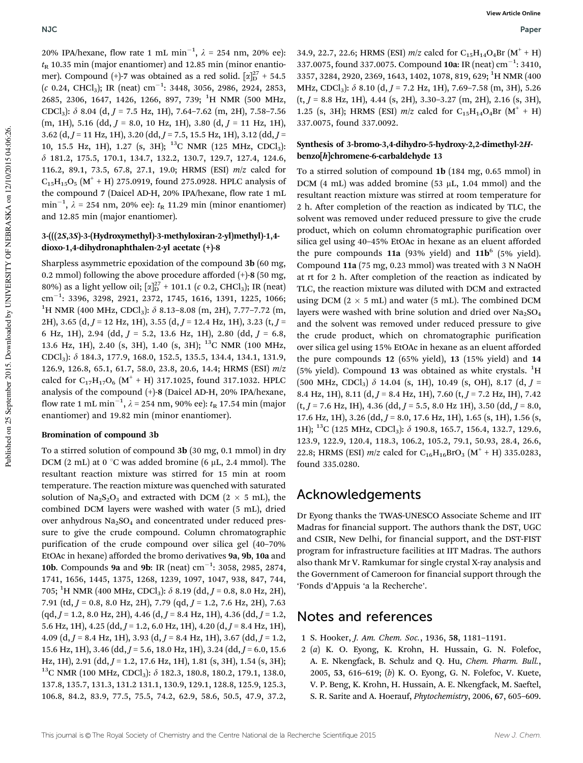20% IPA/hexane, flow rate 1 mL min<sup>-1</sup>,  $\lambda$  = 254 nm, 20% ee):  $t<sub>R</sub>$  10.35 min (major enantiomer) and 12.85 min (minor enantiomer). Compound (+)-7 was obtained as a red solid.  $[\alpha]_D^{27}$  + 54.5 (*c* 0.24, CHCl<sub>3</sub>); IR (neat) cm<sup>-1</sup>: 3448, 3056, 2986, 2924, 2853, 2685, 2306, 1647, 1426, 1266, 897, 739; <sup>1</sup>H NMR (500 MHz, CDCl<sub>3</sub>):  $\delta$  8.04 (d, *J* = 7.5 Hz, 1H), 7.64–7.62 (m, 2H), 7.58–7.56 (m, 1H), 5.16 (dd, *J* = 8.0, 10 Hz, 1H), 3.80 (d, *J* = 11 Hz, 1H), 3.62 (d, *J* = 11 Hz, 1H), 3.20 (dd, *J* = 7.5, 15.5 Hz, 1H), 3.12 (dd, *J* = 10, 15.5 Hz, 1H), 1.27 (s, 3H); <sup>13</sup>C NMR (125 MHz, CDCl3): d 181.2, 175.5, 170.1, 134.7, 132.2, 130.7, 129.7, 127.4, 124.6, 116.2, 89.1, 73.5, 67.8, 27.1, 19.0; HRMS (ESI) *m*/*z* calcd for  $C_{15}H_{15}O_5$   $(M^+ + H)$  275.0919, found 275.0928. HPLC analysis of the compound 7 (Daicel AD-H, 20% IPA/hexane, flow rate 1 mL min<sup>-1</sup>,  $\lambda$  = 254 nm, 20% ee):  $t_{R}$  11.29 min (minor enantiomer) and 12.85 min (major enantiomer).

#### 3-(((2S,3S)-3-(Hydroxymethyl)-3-methyloxiran-2-yl)methyl)-1,4 dioxo-1,4-dihydronaphthalen-2-yl acetate (+)-8

Sharpless asymmetric epoxidation of the compound 3b (60 mg, 0.2 mmol) following the above procedure afforded  $(+)$ -8 (50 mg, 80%) as a light yellow oil;  $\left[\alpha\right]_D^{27}$  + 101.1 (*c* 0.2, CHCl<sub>3</sub>); IR (neat) cm<sup>-1</sup>: 3396, 3298, 2921, 2372, 1745, 1616, 1391, 1225, 1066; <sup>1</sup>H NMR (400 MHz, CDCl<sub>3</sub>):  $\delta$  8.13–8.08 (m, 2H), 7.77–7.72 (m, 2H), 3.65 (d, *J* = 12 Hz, 1H), 3.55 (d, *J* = 12.4 Hz, 1H), 3.23 (t, *J* = 6 Hz, 1H), 2.94 (dd, *J* = 5.2, 13.6 Hz, 1H), 2.80 (dd, *J* = 6.8, 13.6 Hz, 1H), 2.40 (s, 3H), 1.40 (s, 3H); <sup>13</sup>C NMR (100 MHz, CDCl3): d 184.3, 177.9, 168.0, 152.5, 135.5, 134.4, 134.1, 131.9, 126.9, 126.8, 65.1, 61.7, 58.0, 23.8, 20.6, 14.4; HRMS (ESI) *m*/*z* calcd for  $C_{17}H_{17}O_6$   $(M^+ + H)$  317.1025, found 317.1032. HPLC analysis of the compound (+)-8 (Daicel AD-H, 20% IPA/hexane, flow rate 1 mL min<sup>-1</sup>,  $\lambda$  = 254 nm, 90% ee):  $t_{\rm R}$  17.54 min (major enantiomer) and 19.82 min (minor enantiomer).

#### Bromination of compound 3b

To a stirred solution of compound 3b (30 mg, 0.1 mmol) in dry DCM (2 mL) at 0  $\degree$ C was added bromine (6 µL, 2.4 mmol). The resultant reaction mixture was stirred for 15 min at room temperature. The reaction mixture was quenched with saturated solution of Na<sub>2</sub>S<sub>2</sub>O<sub>3</sub> and extracted with DCM (2  $\times$  5 mL), the combined DCM layers were washed with water (5 mL), dried over anhydrous  $Na<sub>2</sub>SO<sub>4</sub>$  and concentrated under reduced pressure to give the crude compound. Column chromatographic purification of the crude compound over silica gel (40–70% EtOAc in hexane) afforded the bromo derivatives 9a, 9b, 10a and 10b. Compounds 9a and 9b: IR (neat)  $\text{cm}^{-1}$ : 3058, 2985, 2874, 1741, 1656, 1445, 1375, 1268, 1239, 1097, 1047, 938, 847, 744, 705; <sup>1</sup>H NMR (400 MHz, CDCl<sub>3</sub>):  $\delta$  8.19 (dd, *J* = 0.8, 8.0 Hz, 2H), 7.91 (td, *J* = 0.8, 8.0 Hz, 2H), 7.79 (qd, *J* = 1.2, 7.6 Hz, 2H), 7.63 (qd, *J* = 1.2, 8.0 Hz, 2H), 4.46 (d, *J* = 8.4 Hz, 1H), 4.36 (dd, *J* = 1.2, 5.6 Hz, 1H), 4.25 (dd, *J* = 1.2, 6.0 Hz, 1H), 4.20 (d, *J* = 8.4 Hz, 1H), 4.09 (d, *J* = 8.4 Hz, 1H), 3.93 (d, *J* = 8.4 Hz, 1H), 3.67 (dd, *J* = 1.2, 15.6 Hz, 1H), 3.46 (dd, *J* = 5.6, 18.0 Hz, 1H), 3.24 (dd, *J* = 6.0, 15.6 Hz, 1H), 2.91 (dd, *J* = 1.2, 17.6 Hz, 1H), 1.81 (s, 3H), 1.54 (s, 3H); <sup>13</sup>C NMR (100 MHz, CDCl<sub>3</sub>):  $\delta$  182.3, 180.8, 180.2, 179.1, 138.0, 137.8, 135.7, 131.3, 131.2 131.1, 130.9, 129.1, 128.8, 125.9, 125.3, 106.8, 84.2, 83.9, 77.5, 75.5, 74.2, 62.9, 58.6, 50.5, 47.9, 37.2,

34.9, 22.7, 22.6; HRMS (ESI)  $m/z$  calcd for C<sub>15</sub>H<sub>14</sub>O<sub>4</sub>Br (M<sup>+</sup> + H) 337.0075, found 337.0075. Compound 10a: IR (neat) cm<sup>-1</sup>: 3410, 3357, 3284, 2920, 2369, 1643, 1402, 1078, 819, 629; <sup>1</sup>H NMR (400 MHz, CDCl<sub>3</sub>): δ 8.10 (d, *J* = 7.2 Hz, 1H), 7.69-7.58 (m, 3H), 5.26 (t, *J* = 8.8 Hz, 1H), 4.44 (s, 2H), 3.30–3.27 (m, 2H), 2.16 (s, 3H), 1.25 (s, 3H); HRMS (ESI)  $m/z$  calcd for C<sub>15</sub>H<sub>14</sub>O<sub>4</sub>Br (M<sup>+</sup> + H) 337.0075, found 337.0092.

#### Synthesis of 3-bromo-3,4-dihydro-5-hydroxy-2,2-dimethyl-2Hbenzo[h]chromene-6-carbaldehyde 13

To a stirred solution of compound 1b (184 mg, 0.65 mmol) in DCM  $(4 \text{ mL})$  was added bromine  $(53 \mu L, 1.04 \text{ mmol})$  and the resultant reaction mixture was stirred at room temperature for 2 h. After completion of the reaction as indicated by TLC, the solvent was removed under reduced pressure to give the crude product, which on column chromatographic purification over silica gel using 40–45% EtOAc in hexane as an eluent afforded the pure compounds  $11a$  (93% yield) and  $11b^6$  (5% yield). Compound 11a (75 mg, 0.23 mmol) was treated with 3 N NaOH at rt for 2 h. After completion of the reaction as indicated by TLC, the reaction mixture was diluted with DCM and extracted using DCM  $(2 \times 5 \text{ mL})$  and water  $(5 \text{ mL})$ . The combined DCM layers were washed with brine solution and dried over  $Na<sub>2</sub>SO<sub>4</sub>$ and the solvent was removed under reduced pressure to give the crude product, which on chromatographic purification over silica gel using 15% EtOAc in hexane as an eluent afforded the pure compounds 12 (65% yield), 13 (15% yield) and 14 (5% yield). Compound 13 was obtained as white crystals.  ${}^{1}H$  $(500 \text{ MHz}, \text{CDCl}_3)$   $\delta$  14.04 (s, 1H), 10.49 (s, OH), 8.17 (d,  $J =$ 8.4 Hz, 1H), 8.11 (d, *J* = 8.4 Hz, 1H), 7.60 (t, *J* = 7.2 Hz, IH), 7.42 (t, *J* = 7.6 Hz, IH), 4.36 (dd, *J* = 5.5, 8.0 Hz 1H), 3.50 (dd, *J* = 8.0, 17.6 Hz, 1H), 3.26 (dd, *J* = 8.0, 17.6 Hz, 1H), 1.65 (s, 1H), 1.56 (s, 1H); <sup>13</sup>C (125 MHz, CDCl<sub>3</sub>):  $\delta$  190.8, 165.7, 156.4, 132.7, 129.6, 123.9, 122.9, 120.4, 118.3, 106.2, 105.2, 79.1, 50.93, 28.4, 26.6, 22.8; HRMS (ESI)  $m/z$  calcd for C<sub>16</sub>H<sub>16</sub>BrO<sub>3</sub> (M<sup>+</sup> + H) 335.0283, found 335.0280.

## Acknowledgements

Dr Eyong thanks the TWAS-UNESCO Associate Scheme and IIT Madras for financial support. The authors thank the DST, UGC and CSIR, New Delhi, for financial support, and the DST-FIST program for infrastructure facilities at IIT Madras. The authors also thank Mr V. Ramkumar for single crystal X-ray analysis and the Government of Cameroon for financial support through the 'Fonds d'Appuis 'a la Recherche'.

### Notes and references

- 1 S. Hooker, *J. Am. Chem. Soc.*, 1936, 58, 1181–1191.
- 2 (*a*) K. O. Eyong, K. Krohn, H. Hussain, G. N. Folefoc, A. E. Nkengfack, B. Schulz and Q. Hu, *Chem. Pharm. Bull.*, 2005, 53, 616–619; (*b*) K. O. Eyong, G. N. Folefoc, V. Kuete, V. P. Beng, K. Krohn, H. Hussain, A. E. Nkengfack, M. Saeftel, S. R. Sarite and A. Hoerauf, *Phytochemistry*, 2006, 67, 605–609.